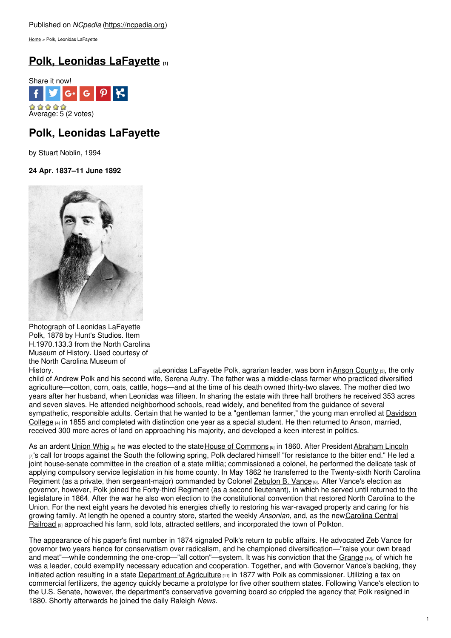[Home](https://ncpedia.org/) > Polk, Leonidas LaFayette

# **Polk, Leonidas [LaFayette](https://ncpedia.org/biography/polk-leonidas-lafayette) [1]**



# **Polk, Leonidas LaFayette**

by Stuart Noblin, 1994

## **24 Apr. 1837–11 June 1892**



Photograph of Leonidas LaFayette Polk, 1878 by Hunt's Studios. Item H.1970.133.3 from the North Carolina Museum of History. Used courtesy of the North Carolina Museum of

[History.](http://collections.ncdcr.gov/RediscoveryProficioPublicSearch/ShowItem.aspx?53428+) **Example 2** and the pool of the policidas LaFayette Polk, agrarian leader, was born inAnson [County](https://ncpedia.org/geography/anson) [3], the only child of Andrew Polk and his second wife, Serena Autry. The father was a middle-class farmer who practiced diversified agriculture—cotton, corn, oats, cattle, hogs—and at the time of his death owned thirty-two slaves. The mother died two years after her husband, when Leonidas was fifteen. In sharing the estate with three half brothers he received 353 acres and seven slaves. He attended neighborhood schools, read widely, and benefited from the guidance of several [sympathetic,](https://ncpedia.org/davidson-college) responsible adults. Certain that he wanted to be a "gentleman farmer," the young man enrolled at Davidson College  $[4]$  in 1855 and completed with distinction one year as a special student. He then returned to Anson, married, received 300 more acres of land on approaching his majority, and developed a keen interest in politics.

As an ardent [Union](https://ncpedia.org/history/1776-1860/democrats-whigs) Whig [5] he was elected to the state House of [Commons](https://ncpedia.org/general-assembly) [6] in 1860. After President [Abraham](https://www.whitehouse.gov/about/presidents/abrahamlincoln) Lincoln  $\eta$ 's call for troops against the South the following spring. Polk declared himself "for resistance to the bitter end." He led a joint house-senate committee in the creation of a state militia; commissioned a colonel, he performed the delicate task of applying compulsory service legislation in his home county. In May 1862 he transferred to the Twenty-sixth North Carolina Regiment (as a private, then sergeant-major) commanded by Colonel [Zebulon](https://ncpedia.org/vance-zebulon-baird-research-branch) B. Vance [8]. After Vance's election as governor, however, Polk joined the Forty-third Regiment (as a second lieutenant), in which he served until returned to the legislature in 1864. After the war he also won election to the constitutional convention that restored North Carolina to the Union. For the next eight years he devoted his energies chiefly to restoring his war-ravaged property and caring for his growing family. At length he opened a country store, started the weekly *Ansonian*, and, as the new Carolina Central Railroad [9] approached his farm, sold lots, attracted settlers, and incorporated the town of Polkton.

The appearance of his paper's first number in 1874 signaled Polk's return to public affairs. He advocated Zeb Vance for governor two years hence for conservatism over radicalism, and he championed diversification—"raise your own bread and meat"—while condemning the one-crop—"all cotton"—system. It was his conviction that the [Grange](https://ncpedia.org/grange) [10], of which he was a leader, could exemplify necessary education and cooperation. Together, and with Governor Vance's backing, they initiated action resulting in a state [Department](https://ncpedia.org/agriculture-and-consumer-services) of Agriculture  $[11]$  in 1877 with Polk as commissioner. Utilizing a tax on commercial fertilizers, the agency quickly became a prototype for five other southern states. Following Vance's election to the U.S. Senate, however, the department's conservative governing board so crippled the agency that Polk resigned in 1880. Shortly afterwards he joined the daily Raleigh *News*.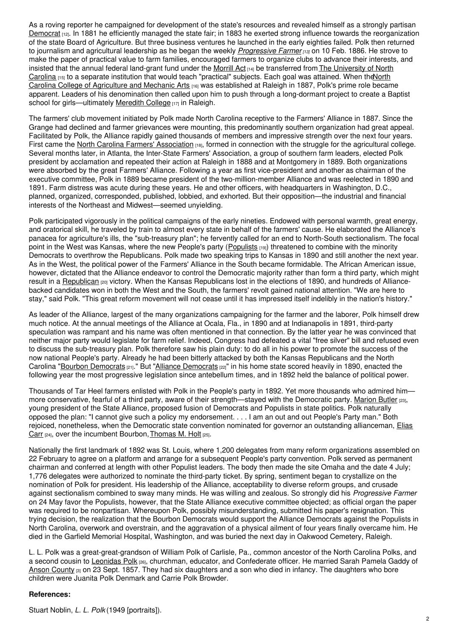As a roving reporter he campaigned for development of the state's resources and revealed himself as a strongly partisan [Democrat](https://ncpedia.org/democratic-party)  $12$ . In 1881 he efficiently managed the state fair; in 1883 he exerted strong influence towards the reorganization of the state Board of Agriculture. But three business ventures he launched in the early eighties failed. Polk then returned to journalism and agricultural leadership as he began the weekly *[Progressive](https://ncpedia.org/progressive-farmer) Farmer [13]* on 10 Feb. 1886. He strove to make the paper of practical value to farm families, encouraged farmers to organize clubs to advance their interests, and insisted that the annual federal land-grant fund under the [Morrill](https://ncpedia.org/land-grant-colleges) Act [14] be [transferred](https://ncpedia.org/university-north-carolina-chapel-hi) from The University of North Carolina [15] to a separate institution that would teach "practical" subjects. Each goal was attained. When theNorth Carolina College of Agriculture and Mechanic Arts [16] was [established](https://ncpedia.org/north-carolina-state-university) at Raleigh in 1887, Polk's prime role became apparent. Leaders of his denomination then called upon him to push through a long-dormant project to create a Baptist school for girls—ultimately [Meredith](https://ncpedia.org/meredith-college) College [17] in Raleigh.

The farmers' club movement initiated by Polk made North Carolina receptive to the Farmers' Alliance in 1887. Since the Grange had declined and farmer grievances were mounting, this predominantly southern organization had great appeal. Facilitated by Polk, the Alliance rapidly gained thousands of members and impressive strength over the next four years. First came the North Carolina Farmers' [Association](https://ncpedia.org/north-carolina-farmers-association) [18], formed in connection with the struggle for the agricultural college. Several months later, in Atlanta, the Inter-State Farmers' Association, a group of southern farm leaders, elected Polk president by acclamation and repeated their action at Raleigh in 1888 and at Montgomery in 1889. Both organizations were absorbed by the great Farmers' Alliance. Following a year as first vice-president and another as chairman of the executive committee, Polk in 1889 became president of the two-million-member Alliance and was reelected in 1890 and 1891. Farm distress was acute during these years. He and other officers, with headquarters in Washington, D.C., planned, organized, corresponded, published, lobbied, and exhorted. But their opposition—the industrial and financial interests of the Northeast and Midwest—seemed unyielding.

Polk participated vigorously in the political campaigns of the early nineties. Endowed with personal warmth, great energy, and oratorical skill, he traveled by train to almost every state in behalf of the farmers' cause. He elaborated the Alliance's panacea for agriculture's ills, the "sub-treasury plan"; he fervently called for an end to North-South sectionalism. The focal point in the West was Kansas, where the new People's party ([Populists](https://ncpedia.org/populist-party) [19]) threatened to combine with the minority Democrats to overthrow the Republicans. Polk made two speaking trips to Kansas in 1890 and still another the next year. As in the West, the political power of the Farmers' Alliance in the South became formidable. The African American issue, however, dictated that the Alliance endeavor to control the Democratic majority rather than form a third party, which might result in a [Republican](https://ncpedia.org/republican-party) [20] victory. When the Kansas Republicans lost in the elections of 1890, and hundreds of Alliancebacked candidates won in both the West and the South, the farmers' revolt gained national attention. "We are here to stay," said Polk. "This great reform movement will not cease until it has impressed itself indelibly in the nation's history."

As leader of the Alliance, largest of the many organizations campaigning for the farmer and the laborer, Polk himself drew much notice. At the annual meetings of the Alliance at Ocala, Fla., in 1890 and at Indianapolis in 1891, third-party speculation was rampant and his name was often mentioned in that connection. By the latter year he was convinced that neither major party would legislate for farm relief. Indeed, Congress had defeated a vital "free silver" bill and refused even to discuss the sub-treasury plan. Polk therefore saw his plain duty: to do all in his power to promote the success of the now national People's party. Already he had been bitterly attacked by both the Kansas Republicans and the North Carolina "Bourbon [Democrats](https://ncpedia.org/farmers-alliance) [21]." But "Alliance Democrats [22]" in his home state scored heavily in 1890, enacted the following year the most progressive legislation since antebellum times, and in 1892 held the balance of political power.

Thousands of Tar Heel farmers enlisted with Polk in the People's party in 1892. Yet more thousands who admired him— more conservative, fearful of a third party, aware of their strength—stayed with the Democratic party. [Marion](https://ncpedia.org/biography/butler-marion) Butler [23], young president of the State Alliance, proposed fusion of Democrats and Populists in state politics. Polk naturally opposed the plan: "I cannot give such a policy my endorsement. . . . I am an out and out People's Party man." Both rejoiced, nonetheless, when the Democratic state convention nominated for governor an outstanding allianceman, Elias Carr  $[24]$ , over the incumbent [Bourbon,](https://ncpedia.org/biography/carr-elias) [Thomas](https://ncpedia.org/biography/holt-thomas-michael) M. Holt  $[25]$ .

Nationally the first landmark of 1892 was St. Louis, where 1,200 delegates from many reform organizations assembled on 22 February to agree on a platform and arrange for a subsequent People's party convention. Polk served as permanent chairman and conferred at length with other Populist leaders. The body then made the site Omaha and the date 4 July; 1,776 delegates were authorized to nominate the third-party ticket. By spring, sentiment began to crystallize on the nomination of Polk for president. His leadership of the Alliance, acceptability to diverse reform groups, and crusade against sectionalism combined to sway many minds. He was willing and zealous. So strongly did his *Progressive Farmer* on 24 May favor the Populists, however, that the State Alliance executive committee objected; as official organ the paper was required to be nonpartisan. Whereupon Polk, possibly misunderstanding, submitted his paper's resignation. This trying decision, the realization that the Bourbon Democrats would support the Alliance Democrats against the Populists in North Carolina, overwork and overstrain, and the aggravation of a physical ailment of four years finally overcame him. He died in the Garfield Memorial Hospital, Washington, and was buried the next day in Oakwood Cemetery, Raleigh.

L. L. Polk was a great-great-grandson of William Polk of Carlisle, Pa., common ancestor of the North Carolina Polks, and a second cousin to [Leonidas](https://ncpedia.org/biography/polk-leonidas) Polk [26], churchman, educator, and Confederate officer. He married Sarah Pamela Gaddy of Anson [County](https://ncpedia.org/geography/anson)  $\alpha$  on 23 Sept. 1857. They had six daughters and a son who died in infancy. The daughters who bore children were Juanita Polk Denmark and Carrie Polk Browder.

### **References:**

Stuart Noblin, *L. L. Polk* (1949 [portraits]).